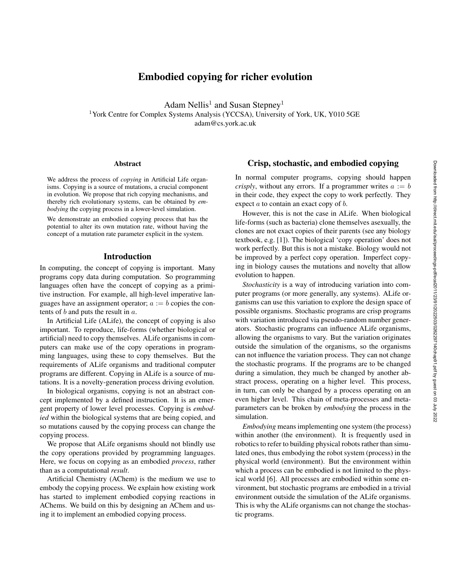# Embodied copying for richer evolution

Adam Nellis<sup>1</sup> and Susan Stepney<sup>1</sup> <sup>1</sup>York Centre for Complex Systems Analysis (YCCSA), University of York, UK, Y010 5GE adam@cs.york.ac.uk

#### **Abstract**

We address the process of *copying* in Artificial Life organisms. Copying is a source of mutations, a crucial component in evolution. We propose that rich copying mechanisms, and thereby rich evolutionary systems, can be obtained by *embodying* the copying process in a lower-level simulation.

We demonstrate an embodied copying process that has the potential to alter its own mutation rate, without having the concept of a mutation rate parameter explicit in the system.

#### Introduction

In computing, the concept of copying is important. Many programs copy data during computation. So programming languages often have the concept of copying as a primitive instruction. For example, all high-level imperative languages have an assignment operator;  $a := b$  copies the contents of  $b$  and puts the result in  $a$ .

In Artificial Life (ALife), the concept of copying is also important. To reproduce, life-forms (whether biological or artificial) need to copy themselves. ALife organisms in computers can make use of the copy operations in programming languages, using these to copy themselves. But the requirements of ALife organisms and traditional computer programs are different. Copying in ALife is a source of mutations. It is a novelty-generation process driving evolution.

In biological organisms, copying is not an abstract concept implemented by a defined instruction. It is an emergent property of lower level processes. Copying is *embodied* within the biological systems that are being copied, and so mutations caused by the copying process can change the copying process.

We propose that ALife organisms should not blindly use the copy operations provided by programming languages. Here, we focus on copying as an embodied *process*, rather than as a computational *result*.

Artificial Chemistry (AChem) is the medium we use to embody the copying process. We explain how existing work has started to implement embodied copying reactions in AChems. We build on this by designing an AChem and using it to implement an embodied copying process.

## Crisp, stochastic, and embodied copying

In normal computer programs, copying should happen *crisply*, without any errors. If a programmer writes  $a := b$ in their code, they expect the copy to work perfectly. They expect *a* to contain an exact copy of *b*.

However, this is not the case in ALife. When biological life-forms (such as bacteria) clone themselves asexually, the clones are not exact copies of their parents (see any biology textbook, e.g. [1]). The biological 'copy operation' does not work perfectly. But this is not a mistake. Biology would not be improved by a perfect copy operation. Imperfect copying in biology causes the mutations and novelty that allow evolution to happen.

*Stochasticity* is a way of introducing variation into computer programs (or more generally, any systems). ALife organisms can use this variation to explore the design space of possible organisms. Stochastic programs are crisp programs with variation introduced via pseudo-random number generators. Stochastic programs can influence ALife organisms, allowing the organisms to vary. But the variation originates outside the simulation of the organisms, so the organisms can not influence the variation process. They can not change the stochastic programs. If the programs are to be changed during a simulation, they much be changed by another abstract process, operating on a higher level. This process, in turn, can only be changed by a process operating on an even higher level. This chain of meta-processes and metaparameters can be broken by *embodying* the process in the simulation.

*Embodying* means implementing one system (the process) within another (the environment). It is frequently used in robotics to refer to building physical robots rather than simulated ones, thus embodying the robot system (process) in the physical world (environment). But the environment within which a process can be embodied is not limited to the physical world [6]. All processes are embodied within some environment, but stochastic programs are embodied in a trivial environment outside the simulation of the ALife organisms. This is why the ALife organisms can not change the stochastic programs.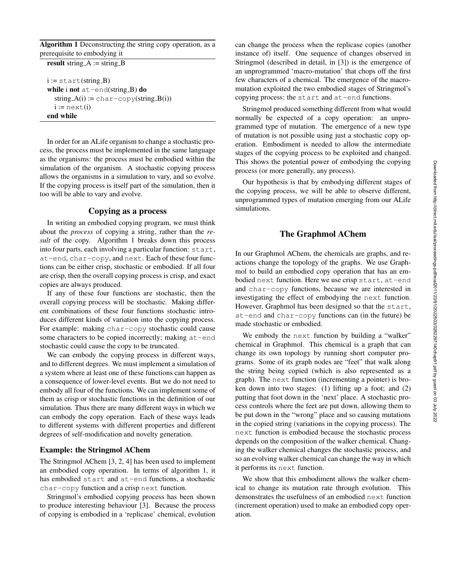Algorithm 1 Deconstructing the string copy operation, as a prerequisite to embodying it

result string  $A :=$  string  $B$ 

 $i := start(string_B)$ while i not  $at$ -end(string B) do  $string_A(i) := char-copy(string_B(i))$  $i := n$ ext $(i)$ end while

In order for an ALife organism to change a stochastic process, the process must be implemented in the same language as the organisms: the process must be embodied within the simulation of the organism. A stochastic copying process allows the organisms in a simulation to vary, and so evolve. If the copying process is itself part of the simulation, then it too will be able to vary and evolve.

## Copying as a process

In writing an embodied copying program, we must think about the *process* of copying a string, rather than the *result* of the copy. Algorithm 1 breaks down this process into four parts, each involving a particular function: start, at-end, char-copy, and next. Each of these four functions can be either crisp, stochastic or embodied. If all four are crisp, then the overall copying process is crisp, and exact copies are always produced.

If any of these four functions are stochastic, then the overall copying process will be stochastic. Making different combinations of these four functions stochastic introduces different kinds of variation into the copying process. For example: making char-copy stochastic could cause some characters to be copied incorrectly; making at-end stochastic could cause the copy to be truncated.

We can embody the copying process in different ways, and to different degrees. We must implement a simulation of a system where at least one of these functions can happen as a consequence of lower-level events. But we do not need to embody all four of the functions. We can implement some of them as crisp or stochastic functions in the definition of our simulation. Thus there are many different ways in which we can embody the copy operation. Each of these ways leads to different systems with different properties and different degrees of self-modification and novelty generation.

#### Example: the Stringmol AChem

The Stringmol AChem [3, 2, 4] has been used to implement an embodied copy operation. In terms of algorithm 1, it has embodied start and at-end functions, a stochastic char-copy function and a crisp next function.

Stringmol's embodied copying process has been shown to produce interesting behaviour [3]. Because the process of copying is embodied in a 'replicase' chemical, evolution can change the process when the replicase copies (another instance of) itself. One sequence of changes observed in Stringmol (described in detail, in [3]) is the emergence of an unprogrammed 'macro-mutation' that chops off the first few characters of a chemical. The emergence of the macromutation exploited the two embodied stages of Stringmol's copying process: the start and at-end functions.

Stringmol produced something different from what would normally be expected of a copy operation: an unprogrammed type of mutation. The emergence of a new type of mutation is not possible using just a stochastic copy operation. Embodiment is needed to allow the intermediate stages of the copying process to be exploited and changed. This shows the potential power of embodying the copying process (or more generally, any process).

Our hypothesis is that by embodying different stages of the copying process, we will be able to observe different, unprogrammed types of mutation emerging from our ALife simulations.

## The Graphmol AChem

In our Graphmol AChem, the chemicals are graphs, and reactions change the topology of the graphs. We use Graphmol to build an embodied copy operation that has an embodied next function. Here we use crisp start, at-end and char-copy functions, because we are interested in investigating the effect of embodying the next function. However, Graphmol has been designed so that the start, at-end and char-copy functions can (in the future) be made stochastic or embodied.

We embody the next function by building a "walker" chemical in Graphmol. This chemical is a graph that can change its own topology by running short computer programs. Some of its graph nodes are "feet" that walk along the string being copied (which is also represented as a graph). The next function (incrementing a pointer) is broken down into two stages: (1) lifting up a foot; and (2) putting that foot down in the 'next' place. A stochastic process controls where the feet are put down, allowing them to be put down in the "wrong" place and so causing mutations in the copied string (variations in the copying process). The next function is embodied because the stochastic process depends on the composition of the walker chemical. Changing the walker chemical changes the stochastic process, and so an evolving walker chemical can change the way in which it performs its next function.

We show that this embodiment allows the walker chemical to change its mutation rate through evolution. This demonstrates the usefulness of an embodied next function (increment operation) used to make an embodied copy operation.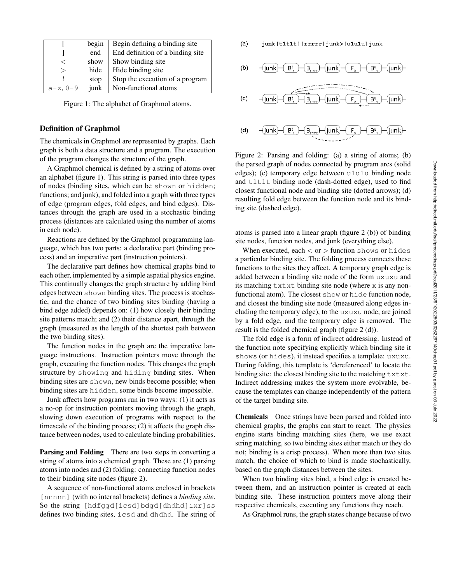|            | begin | Begin defining a binding site    |
|------------|-------|----------------------------------|
|            | end   | End definition of a binding site |
|            | show  | Show binding site                |
|            | hide  | Hide binding site                |
|            | stop  | Stop the execution of a program  |
| $a-z, 0-9$ | junk  | Non-functional atoms             |

Figure 1: The alphabet of Graphmol atoms.

#### Definition of Graphmol

The chemicals in Graphmol are represented by graphs. Each graph is both a data structure and a program. The execution of the program changes the structure of the graph.

A Graphmol chemical is defined by a string of atoms over an alphabet (figure 1). This string is parsed into three types of nodes (binding sites, which can be shown or hidden; functions; and junk), and folded into a graph with three types of edge (program edges, fold edges, and bind edges). Distances through the graph are used in a stochastic binding process (distances are calculated using the number of atoms in each node).

Reactions are defined by the Graphmol programming language, which has two parts: a declarative part (binding process) and an imperative part (instruction pointers).

The declarative part defines how chemical graphs bind to each other, implemented by a simple aspatial physics engine. This continually changes the graph structure by adding bind edges between shown binding sites. The process is stochastic, and the chance of two binding sites binding (having a bind edge added) depends on: (1) how closely their binding site patterns match; and (2) their distance apart, through the graph (measured as the length of the shortest path between the two binding sites).

The function nodes in the graph are the imperative language instructions. Instruction pointers move through the graph, executing the function nodes. This changes the graph structure by showing and hiding binding sites. When binding sites are shown, new binds become possible; when binding sites are hidden, some binds become impossible.

Junk affects how programs run in two ways: (1) it acts as a no-op for instruction pointers moving through the graph, slowing down execution of programs with respect to the timescale of the binding process; (2) it affects the graph distance between nodes, used to calculate binding probabilities.

Parsing and Folding There are two steps in converting a string of atoms into a chemical graph. These are (1) parsing atoms into nodes and (2) folding: connecting function nodes to their binding site nodes (figure 2).

A sequence of non-functional atoms enclosed in brackets [nnnnn] (with no internal brackets) defines a *binding site*. So the string [hdfggd[icsd]bdgd[dhdhd]ixr]ss defines two binding sites, icsd and dhdhd. The string of  $(a)$ junk [t1t1t] [rrrrr] junk> [u1u1u] junk

(c) 
$$
-\overbrace{\text{junk}} - \overbrace{\text{B}^t, -\overbrace{\text{B}_{rrrr}} - \overbrace{\text{junk}} - \overbrace{\text{F} - \overbrace{\text{B}^u, -\overbrace{\text{junk}}}}^{\text{C}} - \overbrace{\text{junk}}^{\text{Junk}}
$$

 $(d)$  $\mathsf{B}^{\mathsf{t}}$ B۳ junk] l iunk

Figure 2: Parsing and folding: (a) a string of atoms; (b) the parsed graph of nodes connected by program arcs (solid edges); (c) temporary edge between u1u1u binding node and t1t1t binding node (dash-dotted edge), used to find closest functional node and binding site (dotted arrows); (d) resulting fold edge between the function node and its binding site (dashed edge).

atoms is parsed into a linear graph (figure 2 (b)) of binding site nodes, function nodes, and junk (everything else).

When executed, each  $\langle$  or  $\rangle$  function shows or hides a particular binding site. The folding process connects these functions to the sites they affect. A temporary graph edge is added between a binding site node of the form uxuxu and its matching txtxt binding site node (where x is any nonfunctional atom). The closest show or hide function node, and closest the binding site node (measured along edges including the temporary edge), to the uxuxu node, are joined by a fold edge, and the temporary edge is removed. The result is the folded chemical graph (figure 2 (d)).

The fold edge is a form of indirect addressing. Instead of the function note specifying explicitly which binding site it shows (or hides), it instead specifies a template: uxuxu. During folding, this template is 'dereferenced' to locate the binding site: the closest binding site to the matching  $\text{txtxt}.$ Indirect addressing makes the system more evolvable, because the templates can change independently of the pattern of the target binding site.

Chemicals Once strings have been parsed and folded into chemical graphs, the graphs can start to react. The physics engine starts binding matching sites (here, we use exact string matching, so two binding sites either match or they do not; binding is a crisp process). When more than two sites match, the choice of which to bind is made stochastically, based on the graph distances between the sites.

When two binding sites bind, a bind edge is created between them, and an instruction pointer is created at each binding site. These instruction pointers move along their respective chemicals, executing any functions they reach.

As Graphmol runs, the graph states change because of two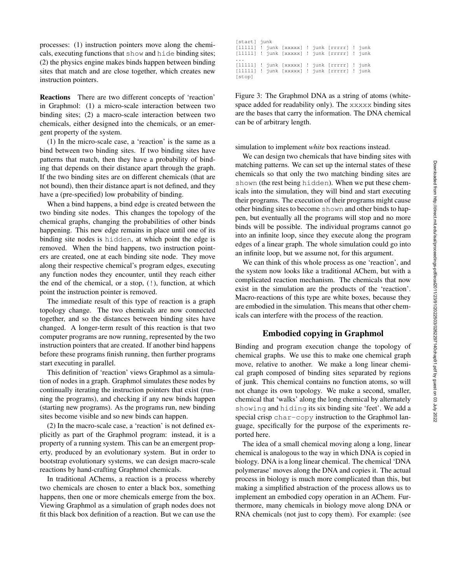processes: (1) instruction pointers move along the chemicals, executing functions that show and hide binding sites; (2) the physics engine makes binds happen between binding sites that match and are close together, which creates new instruction pointers.

Reactions There are two different concepts of 'reaction' in Graphmol: (1) a micro-scale interaction between two binding sites; (2) a macro-scale interaction between two chemicals, either designed into the chemicals, or an emergent property of the system.

(1) In the micro-scale case, a 'reaction' is the same as a bind between two binding sites. If two binding sites have patterns that match, then they have a probability of binding that depends on their distance apart through the graph. If the two binding sites are on different chemicals (that are not bound), then their distance apart is not defined, and they have a (pre-specified) low probability of binding.

When a bind happens, a bind edge is created between the two binding site nodes. This changes the topology of the chemical graphs, changing the probabilities of other binds happening. This new edge remains in place until one of its binding site nodes is hidden, at which point the edge is removed. When the bind happens, two instruction pointers are created, one at each binding site node. They move along their respective chemical's program edges, executing any function nodes they encounter, until they reach either the end of the chemical, or a stop, (!), function, at which point the instruction pointer is removed.

The immediate result of this type of reaction is a graph topology change. The two chemicals are now connected together, and so the distances between binding sites have changed. A longer-term result of this reaction is that two computer programs are now running, represented by the two instruction pointers that are created. If another bind happens before these programs finish running, then further programs start executing in parallel.

This definition of 'reaction' views Graphmol as a simulation of nodes in a graph. Graphmol simulates these nodes by continually iterating the instruction pointers that exist (running the programs), and checking if any new binds happen (starting new programs). As the programs run, new binding sites become visible and so new binds can happen.

(2) In the macro-scale case, a 'reaction' is not defined explicitly as part of the Graphmol program: instead, it is a property of a running system. This can be an emergent property, produced by an evolutionary system. But in order to bootstrap evolutionary systems, we can design macro-scale reactions by hand-crafting Graphmol chemicals.

In traditional AChems, a reaction is a process whereby two chemicals are chosen to enter a black box, something happens, then one or more chemicals emerge from the box. Viewing Graphmol as a simulation of graph nodes does not fit this black box definition of a reaction. But we can use the

| [start] junk |  |  |                                                   |  |
|--------------|--|--|---------------------------------------------------|--|
|              |  |  | $[11111]$ ! junk $[xxxxx]$ ! junk $[rrrr]$ ! junk |  |
|              |  |  | [11111] ! junk [xxxxx] ! junk [rrrrr] ! junk      |  |
|              |  |  |                                                   |  |
|              |  |  | $[11111]$ ! junk $[xxxxx]$ ! junk $[rrrr]$ ! junk |  |
|              |  |  | [11111] ! junk [xxxxx] ! junk [rrrrr] ! junk      |  |
| [stop]       |  |  |                                                   |  |

Figure 3: The Graphmol DNA as a string of atoms (whitespace added for readability only). The xxxxx binding sites are the bases that carry the information. The DNA chemical can be of arbitrary length.

simulation to implement *white* box reactions instead.

We can design two chemicals that have binding sites with matching patterns. We can set up the internal states of these chemicals so that only the two matching binding sites are shown (the rest being hidden). When we put these chemicals into the simulation, they will bind and start executing their programs. The execution of their programs might cause other binding sites to become shown and other binds to happen, but eventually all the programs will stop and no more binds will be possible. The individual programs cannot go into an infinite loop, since they execute along the program edges of a linear graph. The whole simulation could go into an infinite loop, but we assume not, for this argument.

We can think of this whole process as one 'reaction', and the system now looks like a traditional AChem, but with a complicated reaction mechanism. The chemicals that now exist in the simulation are the products of the 'reaction'. Macro-reactions of this type are white boxes, because they are embodied in the simulation. This means that other chemicals can interfere with the process of the reaction.

## Embodied copying in Graphmol

Binding and program execution change the topology of chemical graphs. We use this to make one chemical graph move, relative to another. We make a long linear chemical graph composed of binding sites separated by regions of junk. This chemical contains no function atoms, so will not change its own topology. We make a second, smaller, chemical that 'walks' along the long chemical by alternately showing and hiding its six binding site 'feet'. We add a special crisp char-copy instruction to the Graphmol language, specifically for the purpose of the experiments reported here.

The idea of a small chemical moving along a long, linear chemical is analogous to the way in which DNA is copied in biology. DNA is a long linear chemical. The chemical 'DNA polymerase' moves along the DNA and copies it. The actual process in biology is much more complicated than this, but making a simplified abstraction of the process allows us to implement an embodied copy operation in an AChem. Furthermore, many chemicals in biology move along DNA or RNA chemicals (not just to copy them). For example: (see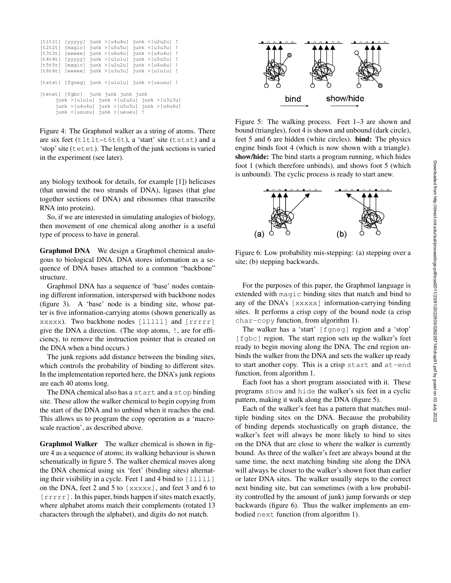| [tlt1tl]                                                                                                                                                                     |  |  |  |  | $[yyyyy]$ junk > $[u4u4u]$ junk < $[u2u2u]$ ! |  |  |
|------------------------------------------------------------------------------------------------------------------------------------------------------------------------------|--|--|--|--|-----------------------------------------------|--|--|
| [t2t2t]                                                                                                                                                                      |  |  |  |  | $[maqic]$ junk > $[u5u5u]$ junk < $[u3u3u]$ ! |  |  |
| [t3t3t]                                                                                                                                                                      |  |  |  |  | [eeeee] junk >[u6u6u] junk <[u4u4u] !         |  |  |
| [t4t4t]                                                                                                                                                                      |  |  |  |  | [vyyyy] junk >[ululu] junk <[u5u5u] !         |  |  |
| [t5t5t]                                                                                                                                                                      |  |  |  |  | [magic] junk >[u2u2u] junk <[u6u6u] !         |  |  |
| [t6t6t]                                                                                                                                                                      |  |  |  |  | [eeeee] junk >[u3u3u] junk <[u1u1u] !         |  |  |
|                                                                                                                                                                              |  |  |  |  | [tstst] [fqneq] junk <[ululu] junk >[ususu] ! |  |  |
| [tetet] [fqbc] junk junk junk junk<br>$junk > [u1u1u]$ $junk > [u2u2u]$ $junk > [u3u3u]$<br>$junk$ >[u4u4u] $junk$ >[u5u5u] $junk$ >[u6u6u]<br>junk <[ususu] junk >[ueueu] ! |  |  |  |  |                                               |  |  |

Figure 4: The Graphmol walker as a string of atoms. There are six feet (t1t1t–t6t6t), a 'start' site (tstst) and a 'stop' site (tetet). The length of the junk sections is varied in the experiment (see later).

any biology textbook for details, for example [1]) helicases (that unwind the two strands of DNA), ligases (that glue together sections of DNA) and ribosomes (that transcribe RNA into protein).

So, if we are interested in simulating analogies of biology, then movement of one chemical along another is a useful type of process to have in general.

Graphmol DNA We design a Graphmol chemical analogous to biological DNA. DNA stores information as a sequence of DNA bases attached to a common "backbone" structure.

Graphmol DNA has a sequence of 'base' nodes containing different information, interspersed with backbone nodes (figure 3). A 'base' node is a binding site, whose patter is five information-carrying atoms (shown generically as xxxxx). Two backbone nodes [lllll] and [rrrrr] give the DNA a direction. (The stop atoms, !, are for efficiency, to remove the instruction pointer that is created on the DNA when a bind occurs.)

The junk regions add distance between the binding sites, which controls the probability of binding to different sites. In the implementation reported here, the DNA's junk regions are each 40 atoms long.

The DNA chemical also has a start and a stop binding site. These allow the walker chemical to begin copying from the start of the DNA and to unbind when it reaches the end. This allows us to program the copy operation as a 'macroscale reaction', as described above.

Graphmol Walker The walker chemical is shown in figure 4 as a sequence of atoms; its walking behaviour is shown schematically in figure 5. The walker chemical moves along the DNA chemical using six 'feet' (binding sites) alternating their visibility in a cycle. Feet 1 and 4 bind to  $\lceil$  11111] on the DNA, feet 2 and 5 to [xxxxx], and feet 3 and 6 to [ $rrrr$ ]. In this paper, binds happen if sites match exactly, where alphabet atoms match their complements (rotated 13 characters through the alphabet), and digits do not match.



Figure 5: The walking process. Feet 1–3 are shown and bound (triangles), foot 4 is shown and unbound (dark circle), feet 5 and 6 are hidden (white circles). bind: The physics engine binds foot 4 (which is now shown with a triangle). show/hide: The bind starts a program running, which hides foot 1 (which therefore unbinds), and shows foot 5 (which is unbound). The cyclic process is ready to start anew.



Figure 6: Low probability mis-stepping: (a) stepping over a site; (b) stepping backwards.

For the purposes of this paper, the Graphmol language is extended with magic binding sites that match and bind to any of the DNA's [xxxxx] information-carrying binding sites. It performs a crisp copy of the bound node (a crisp char-copy function, from algorithm 1).

The walker has a 'start' [fgneg] region and a 'stop' [fgbc] region. The start region sets up the walker's feet ready to begin moving along the DNA. The end region unbinds the walker from the DNA and sets the walker up ready to start another copy. This is a crisp start and at-end function, from algorithm 1.

Each foot has a short program associated with it. These programs show and hide the walker's six feet in a cyclic pattern, making it walk along the DNA (figure 5).

Each of the walker's feet has a pattern that matches multiple binding sites on the DNA. Because the probability of binding depends stochastically on graph distance, the walker's feet will always be more likely to bind to sites on the DNA that are close to where the walker is currently bound. As three of the walker's feet are always bound at the same time, the next matching binding site along the DNA will always be closer to the walker's shown foot than earlier or later DNA sites. The walker usually steps to the correct next binding site, but can sometimes (with a low probability controlled by the amount of junk) jump forwards or step backwards (figure 6). Thus the walker implements an embodied next function (from algorithm 1).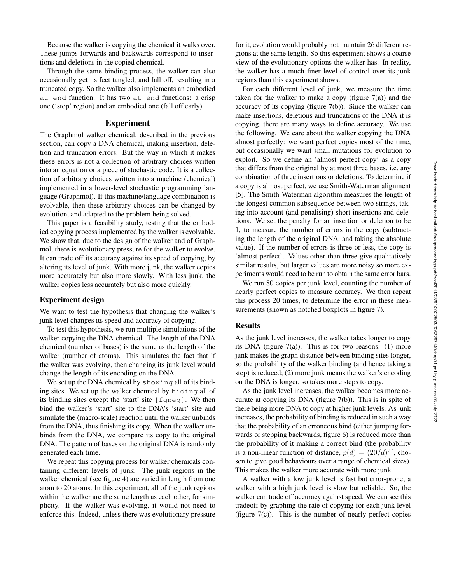Because the walker is copying the chemical it walks over. These jumps forwards and backwards correspond to insertions and deletions in the copied chemical.

Through the same binding process, the walker can also occasionally get its feet tangled, and fall off, resulting in a truncated copy. So the walker also implements an embodied at-end function. It has two at-end functions: a crisp one ('stop' region) and an embodied one (fall off early).

#### Experiment

The Graphmol walker chemical, described in the previous section, can copy a DNA chemical, making insertion, deletion and truncation errors. But the way in which it makes these errors is not a collection of arbitrary choices written into an equation or a piece of stochastic code. It is a collection of arbitrary choices written into a machine (chemical) implemented in a lower-level stochastic programming language (Graphmol). If this machine/language combination is evolvable, then these arbitrary choices can be changed by evolution, and adapted to the problem being solved.

This paper is a feasibility study, testing that the embodied copying process implemented by the walker is evolvable. We show that, due to the design of the walker and of Graphmol, there is evolutionary pressure for the walker to evolve. It can trade off its accuracy against its speed of copying, by altering its level of junk. With more junk, the walker copies more accurately but also more slowly. With less junk, the walker copies less accurately but also more quickly.

## Experiment design

We want to test the hypothesis that changing the walker's junk level changes its speed and accuracy of copying.

To test this hypothesis, we run multiple simulations of the walker copying the DNA chemical. The length of the DNA chemical (number of bases) is the same as the length of the walker (number of atoms). This simulates the fact that if the walker was evolving, then changing its junk level would change the length of its encoding on the DNA.

We set up the DNA chemical by showing all of its binding sites. We set up the walker chemical by hiding all of its binding sites except the 'start' site [fgneg]. We then bind the walker's 'start' site to the DNA's 'start' site and simulate the (macro-scale) reaction until the walker unbinds from the DNA, thus finishing its copy. When the walker unbinds from the DNA, we compare its copy to the original DNA. The pattern of bases on the original DNA is randomly generated each time.

We repeat this copying process for walker chemicals containing different levels of junk. The junk regions in the walker chemical (see figure 4) are varied in length from one atom to 20 atoms. In this experiment, all of the junk regions within the walker are the same length as each other, for simplicity. If the walker was evolving, it would not need to enforce this. Indeed, unless there was evolutionary pressure

for it, evolution would probably not maintain 26 different regions at the same length. So this experiment shows a coarse view of the evolutionary options the walker has. In reality, the walker has a much finer level of control over its junk regions than this experiment shows.

For each different level of junk, we measure the time taken for the walker to make a copy (figure  $7(a)$ ) and the accuracy of its copying (figure 7(b)). Since the walker can make insertions, deletions and truncations of the DNA it is copying, there are many ways to define accuracy. We use the following. We care about the walker copying the DNA almost perfectly: we want perfect copies most of the time, but occasionally we want small mutations for evolution to exploit. So we define an 'almost perfect copy' as a copy that differs from the original by at most three bases, i.e. any combination of three insertions or deletions. To determine if a copy is almost perfect, we use Smith-Waterman alignment [5]. The Smith-Waterman algorithm measures the length of the longest common subsequence between two strings, taking into account (and penalising) short insertions and deletions. We set the penalty for an insertion or deletion to be 1, to measure the number of errors in the copy (subtracting the length of the original DNA, and taking the absolute value). If the number of errors is three or less, the copy is 'almost perfect'. Values other than three give qualitatively similar results, but larger values are more noisy so more experiments would need to be run to obtain the same error bars.

We run 80 copies per junk level, counting the number of nearly perfect copies to measure accuracy. We then repeat this process 20 times, to determine the error in these measurements (shown as notched boxplots in figure 7).

#### **Results**

As the junk level increases, the walker takes longer to copy its DNA (figure  $7(a)$ ). This is for two reasons: (1) more junk makes the graph distance between binding sites longer, so the probability of the walker binding (and hence taking a step) is reduced; (2) more junk means the walker's encoding on the DNA is longer, so takes more steps to copy.

As the junk level increases, the walker becomes more accurate at copying its DNA (figure 7(b)). This is in spite of there being more DNA to copy at higher junk levels. As junk increases, the probability of binding is reduced in such a way that the probability of an erroneous bind (either jumping forwards or stepping backwards, figure 6) is reduced more than the probability of it making a correct bind (the probability is a non-linear function of distance,  $p(d) = (20/d)^{77}$ , chosen to give good behaviours over a range of chemical sizes). This makes the walker more accurate with more junk.

A walker with a low junk level is fast but error-prone; a walker with a high junk level is slow but reliable. So, the walker can trade off accuracy against speed. We can see this tradeoff by graphing the rate of copying for each junk level (figure  $7(c)$ ). This is the number of nearly perfect copies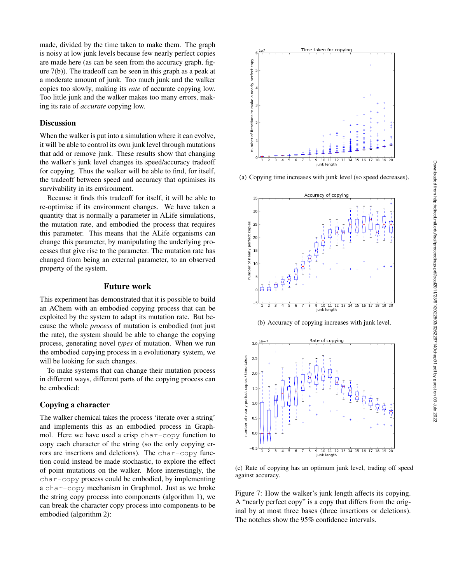made, divided by the time taken to make them. The graph is noisy at low junk levels because few nearly perfect copies are made here (as can be seen from the accuracy graph, figure 7(b)). The tradeoff can be seen in this graph as a peak at a moderate amount of junk. Too much junk and the walker copies too slowly, making its *rate* of accurate copying low. Too little junk and the walker makes too many errors, making its rate of *accurate* copying low.

## **Discussion**

When the walker is put into a simulation where it can evolve, it will be able to control its own junk level through mutations that add or remove junk. These results show that changing the walker's junk level changes its speed/accuracy tradeoff for copying. Thus the walker will be able to find, for itself, the tradeoff between speed and accuracy that optimises its survivability in its environment.

Because it finds this tradeoff for itself, it will be able to re-optimise if its environment changes. We have taken a quantity that is normally a parameter in ALife simulations, the mutation rate, and embodied the process that requires this parameter. This means that the ALife organisms can change this parameter, by manipulating the underlying processes that give rise to the parameter. The mutation rate has changed from being an external parameter, to an observed property of the system.

## Future work

This experiment has demonstrated that it is possible to build an AChem with an embodied copying process that can be exploited by the system to adapt its mutation rate. But because the whole *process* of mutation is embodied (not just the rate), the system should be able to change the copying process, generating novel *types* of mutation. When we run the embodied copying process in a evolutionary system, we will be looking for such changes.

To make systems that can change their mutation process in different ways, different parts of the copying process can be embodied:

## Copying a character

The walker chemical takes the process 'iterate over a string' and implements this as an embodied process in Graphmol. Here we have used a crisp char-copy function to copy each character of the string (so the only copying errors are insertions and deletions). The char-copy function could instead be made stochastic, to explore the effect of point mutations on the walker. More interestingly, the char-copy process could be embodied, by implementing a char-copy mechanism in Graphmol. Just as we broke the string copy process into components (algorithm 1), we can break the character copy process into components to be embodied (algorithm 2):



(a) Copying time increases with junk level (so speed decreases).



(b) Accuracy of copying increases with junk level.



(c) Rate of copying has an optimum junk level, trading off speed against accuracy.

Figure 7: How the walker's junk length affects its copying. A "nearly perfect copy" is a copy that differs from the original by at most three bases (three insertions or deletions). The notches show the 95% confidence intervals.